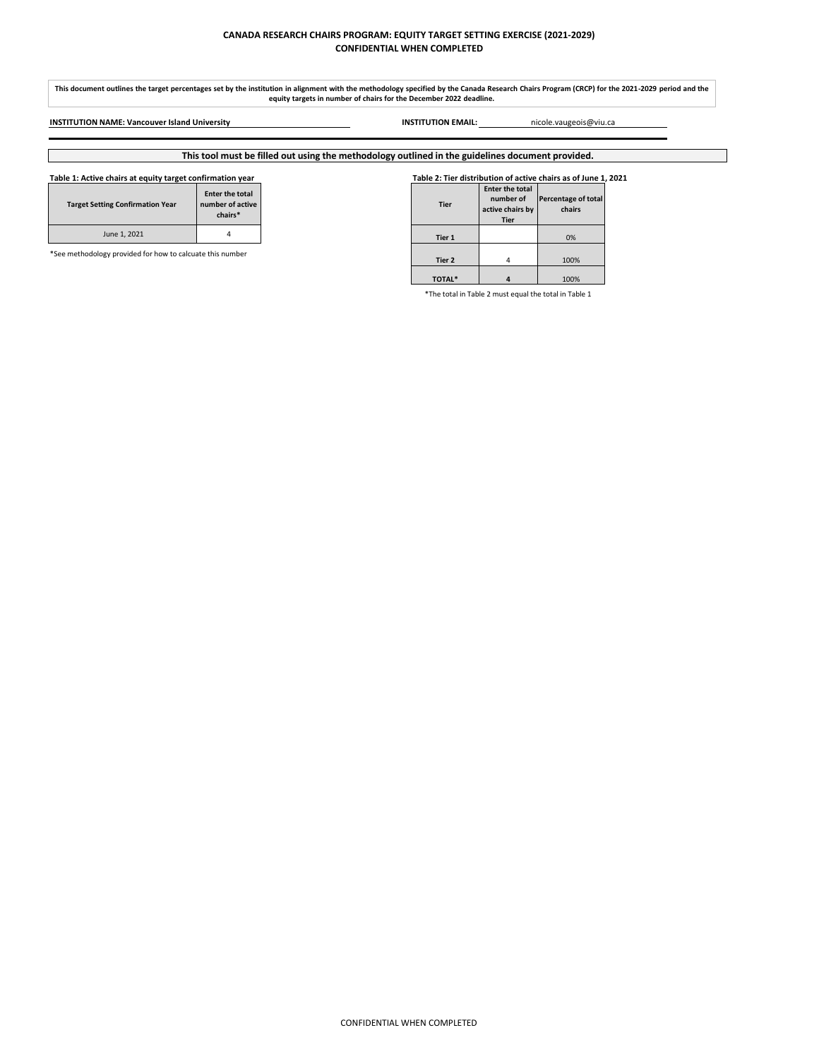# **CANADA RESEARCH CHAIRS PROGRAM: EQUITY TARGET SETTING EXERCISE (2021-2029) CONFIDENTIAL WHEN COMPLETED**

### **Table 1: Active chairs at equity target confirmation year Table 2: Tier distribution of active chairs as of June 1, 2021**

| <b>Target Setting Confirmation Year</b> | <b>Enter the total</b><br>number of active<br>chairs* |
|-----------------------------------------|-------------------------------------------------------|
| June 1, 2021                            |                                                       |

| <b>Tier</b>   | <b>Enter the total</b><br>number of<br>active chairs by<br><b>Tier</b> | Percentage of total<br>chairs |
|---------------|------------------------------------------------------------------------|-------------------------------|
| Tier 1        |                                                                        | 0%                            |
| Tier 2        |                                                                        | 100%                          |
| <b>TOTAL*</b> |                                                                        | 100%                          |

\*The total in Table 2 must equal the total in Table 1

# **This tool must be filled out using the methodology outlined in the guidelines document provided.**

\*See methodology provided for how to calcuate this number

**This document outlines the target percentages set by the institution in alignment with the methodology specified by the Canada Research Chairs Program (CRCP) for the 2021-2029 period and the equity targets in number of chairs for the December 2022 deadline.**

**INSTITUTION NAME: Vancouver Island University INSTITUTION EMAIL:** nicole.vaugeois@viu.ca

CONFIDENTIAL WHEN COMPLETED